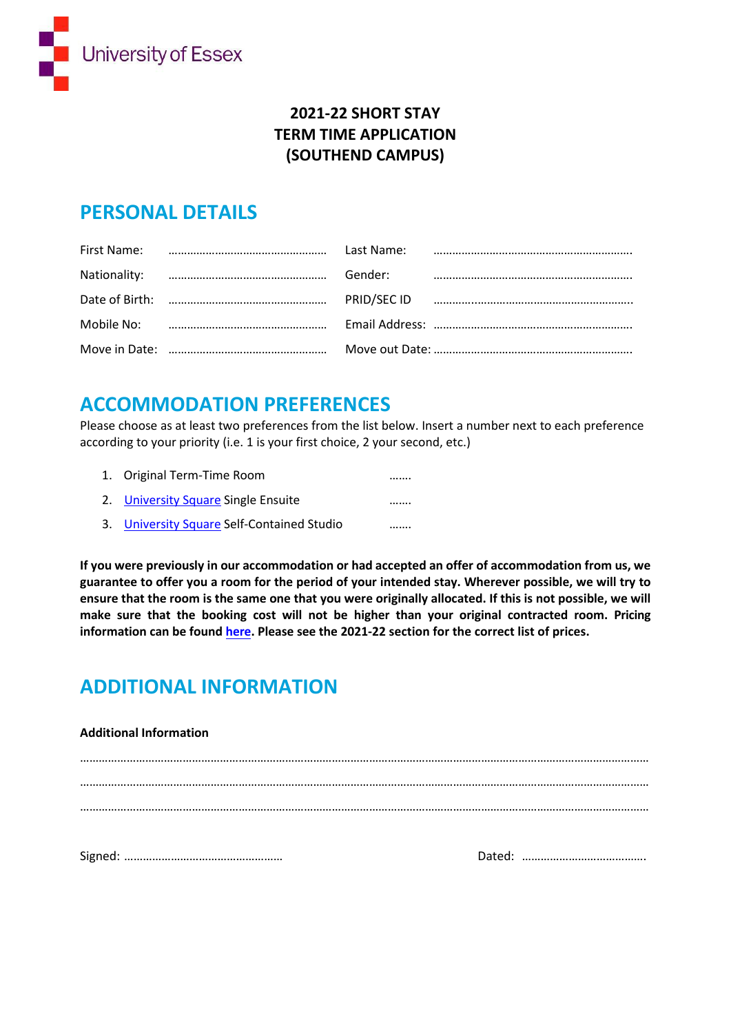

### **2021-22 SHORT STAY TERM TIME APPLICATION (SOUTHEND CAMPUS)**

### **PERSONAL DETAILS**

|  | Last Name: |  |
|--|------------|--|
|  | Gender:    |  |
|  |            |  |
|  |            |  |
|  |            |  |

## **ACCOMMODATION PREFERENCES**

Please choose as at least two preferences from the list below. Insert a number next to each preference according to your priority (i.e. 1 is your first choice, 2 your second, etc.)

| 1. Original Term-Time Room                 | . |
|--------------------------------------------|---|
| 2. University Square Single Ensuite        |   |
| 3. University Square Self-Contained Studio |   |

**If you were previously in our accommodation or had accepted an offer of accommodation from us, we guarantee to offer you a room for the period of your intended stay. Wherever possible, we will try to ensure that the room is the same one that you were originally allocated. If this is not possible, we will make sure that the booking cost will not be higher than your original contracted room. Pricing information can be foun[d here.](https://www.essex.ac.uk/life/southend-campus/accommodation/rent-charges) Please see the 2021-22 section for the correct list of prices.** 

# **ADDITIONAL INFORMATION**

#### **Additional Information**

………………………………………………………………………………………………………………………………………………………………… ………………………………………………………………………………………………………………………………………………………………… ………………………………………………………………………………………………………………………………………………………………… Signed: …………………………………………… Dated: ………………………………….